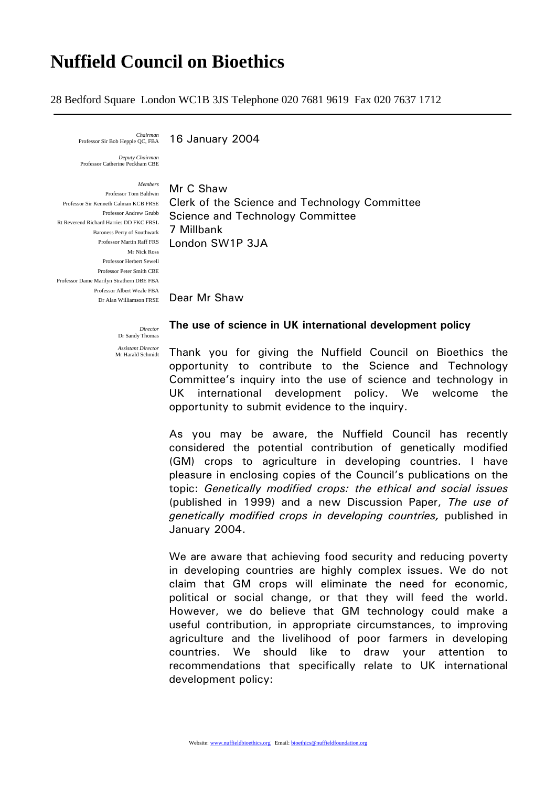## **Nuffield Council on Bioethics**

28 Bedford Square London WC1B 3JS Telephone 020 7681 9619 Fax 020 7637 1712

*Chairman* 

16 January 2004

*Deputy Chairman*  Professor Catherine Peckham CBE

*Members* Professor Tom Baldwin Professor Andrew Grubb Rt Reverend Richard Harries DD FKC FRSL Baroness Perry of Southwark 7 Millbank Mr Nick Ross Professor Herbert Sewell Professor Peter Smith CBE Professor Dame Marilyn Strathern DBE FBA Professor Albert Weale FBA

Professor Sir Kenneth Calman KCB FRSE Clerk of the Science and Technology Committee Professor Martin Raff FRS London SW1P 3JA Mr C Shaw Science and Technology Committee

Dr Alan Williamson FRSE Dear Mr Shaw

*Director*  **The use of science in UK international development policy** 

**Dr Sandy Thoma** *Assistant Director*  Mr Harald Schmidt

Thank you for giving the Nuffield Council on Bioethics the opportunity to contribute to the Science and Technology Committee's inquiry into the use of science and technology in UK international development policy. We welcome the opportunity to submit evidence to the inquiry.

As you may be aware, the Nuffield Council has recently considered the potential contribution of genetically modified (GM) crops to agriculture in developing countries. I have pleasure in enclosing copies of the Council's publications on the topic: *Genetically modified crops: the ethical and social issues*  (published in 1999) and a new Discussion Paper, *The use of genetically modified crops in developing countries,* published in January 2004.

We are aware that achieving food security and reducing poverty in developing countries are highly complex issues. We do not claim that GM crops will eliminate the need for economic, political or social change, or that they will feed the world. However, we do believe that GM technology could make a useful contribution, in appropriate circumstances, to improving agriculture and the livelihood of poor farmers in developing countries. We should like to draw your attention to recommendations that specifically relate to UK international development policy: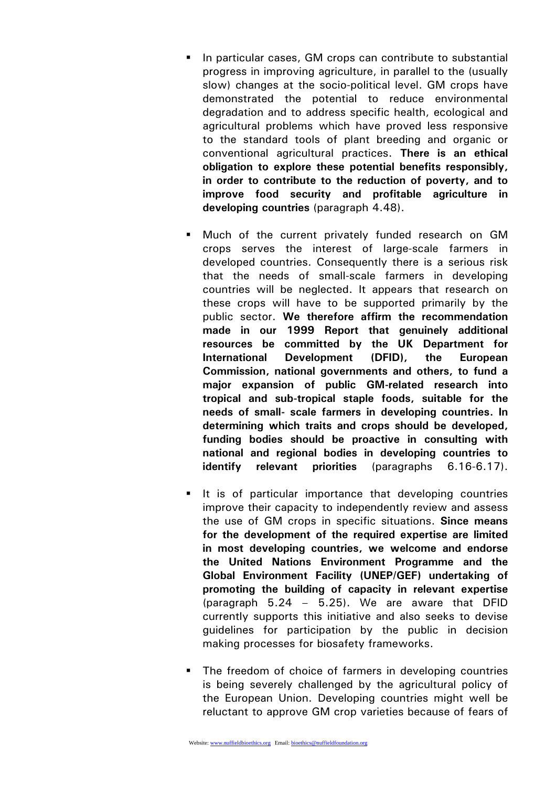- In particular cases, GM crops can contribute to substantial progress in improving agriculture, in parallel to the (usually slow) changes at the socio-political level. GM crops have demonstrated the potential to reduce environmental degradation and to address specific health, ecological and agricultural problems which have proved less responsive to the standard tools of plant breeding and organic or conventional agricultural practices. **There is an ethical obligation to explore these potential benefits responsibly, in order to contribute to the reduction of poverty, and to improve food security and profitable agriculture in developing countries** (paragraph 4.48).
- Much of the current privately funded research on GM crops serves the interest of large-scale farmers in developed countries. Consequently there is a serious risk that the needs of small-scale farmers in developing countries will be neglected. It appears that research on these crops will have to be supported primarily by the public sector. **We therefore affirm the recommendation made in our 1999 Report that genuinely additional resources be committed by the UK Department for International Development (DFID), the European Commission, national governments and others, to fund a major expansion of public GM-related research into tropical and sub-tropical staple foods, suitable for the needs of small- scale farmers in developing countries. In determining which traits and crops should be developed, funding bodies should be proactive in consulting with national and regional bodies in developing countries to identify relevant priorities** (paragraphs 6.16-6.17).
- It is of particular importance that developing countries improve their capacity to independently review and assess the use of GM crops in specific situations. **Since means for the development of the required expertise are limited in most developing countries, we welcome and endorse the United Nations Environment Programme and the Global Environment Facility (UNEP/GEF) undertaking of promoting the building of capacity in relevant expertise**  (paragraph 5.24 – 5.25). We are aware that DFID currently supports this initiative and also seeks to devise guidelines for participation by the public in decision making processes for biosafety frameworks.
- The freedom of choice of farmers in developing countries is being severely challenged by the agricultural policy of the European Union. Developing countries might well be reluctant to approve GM crop varieties because of fears of